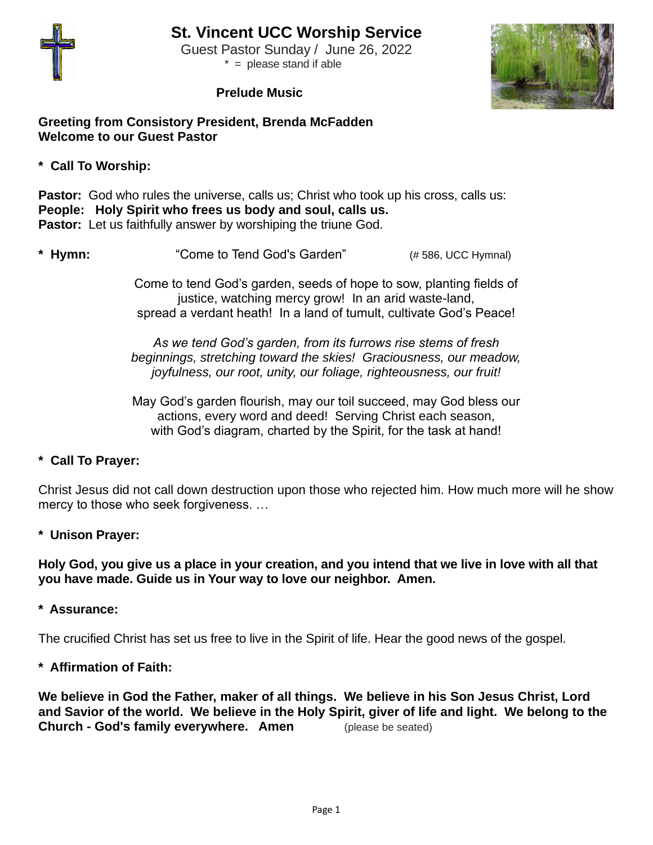

 Guest Pastor Sunday / June 26, 2022  $* =$  please stand if able

#### **Prelude Music**



#### **Greeting from Consistory President, Brenda McFadden Welcome to our Guest Pastor**

**\* Call To Worship:**

**Pastor:** God who rules the universe, calls us; Christ who took up his cross, calls us: **People: Holy Spirit who frees us body and soul, calls us. Pastor:** Let us faithfully answer by worshiping the triune God.

**\* Hymn:** "Come to Tend God's Garden" (# 586, UCC Hymnal)

Come to tend God's garden, seeds of hope to sow, planting fields of justice, watching mercy grow! In an arid waste-land, spread a verdant heath! In a land of tumult, cultivate God's Peace!

*As we tend God's garden, from its furrows rise stems of fresh beginnings, stretching toward the skies! Graciousness, our meadow, joyfulness, our root, unity, our foliage, righteousness, our fruit!*

May God's garden flourish, may our toil succeed, may God bless our actions, every word and deed! Serving Christ each season, with God's diagram, charted by the Spirit, for the task at hand!

**\* Call To Prayer:**

Christ Jesus did not call down destruction upon those who rejected him. How much more will he show mercy to those who seek forgiveness. …

**\* Unison Prayer:**

**Holy God, you give us a place in your creation, and you intend that we live in love with all that you have made. Guide us in Your way to love our neighbor. Amen.** 

**\* Assurance:**

The crucified Christ has set us free to live in the Spirit of life. Hear the good news of the gospel.

**\* Affirmation of Faith:** 

**We believe in God the Father, maker of all things. We believe in his Son Jesus Christ, Lord and Savior of the world. We believe in the Holy Spirit, giver of life and light. We belong to the Church - God's family everywhere. Amen** (please be seated)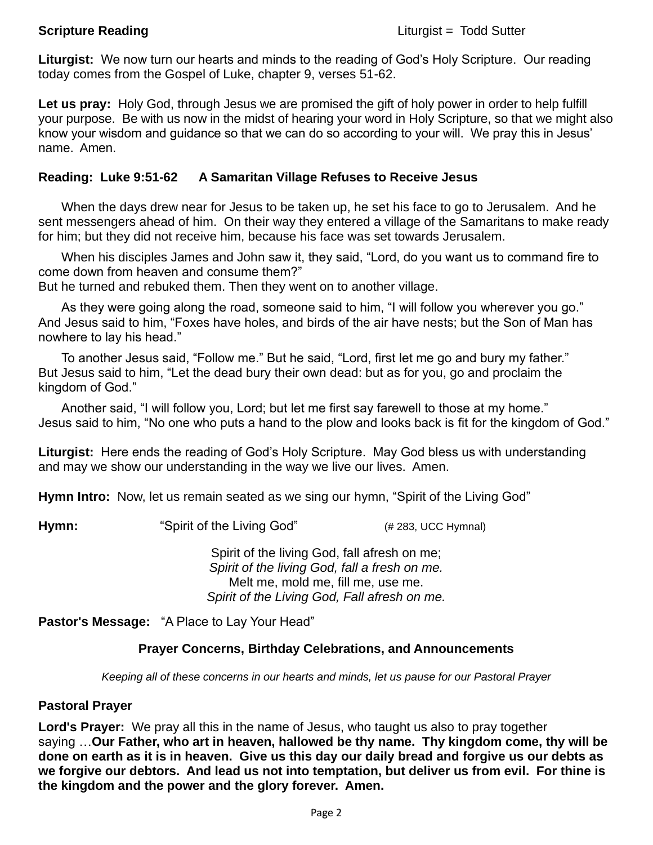**Liturgist:** We now turn our hearts and minds to the reading of God's Holy Scripture. Our reading today comes from the Gospel of Luke, chapter 9, verses 51-62.

**Let us pray:** Holy God, through Jesus we are promised the gift of holy power in order to help fulfill your purpose. Be with us now in the midst of hearing your word in Holy Scripture, so that we might also know your wisdom and guidance so that we can do so according to your will. We pray this in Jesus' name. Amen.

## **Reading: Luke 9:51-62 A Samaritan Village Refuses to Receive Jesus**

When the days drew near for Jesus to be taken up, he set his face to go to Jerusalem. And he sent messengers ahead of him. On their way they entered a village of the Samaritans to make ready for him; but they did not receive him, because his face was set towards Jerusalem.

When his disciples James and John saw it, they said, "Lord, do you want us to command fire to come down from heaven and consume them?"

But he turned and rebuked them. Then they went on to another village.

As they were going along the road, someone said to him, "I will follow you wherever you go." And Jesus said to him, "Foxes have holes, and birds of the air have nests; but the Son of Man has nowhere to lay his head."

To another Jesus said, "Follow me." But he said, "Lord, first let me go and bury my father." But Jesus said to him, "Let the dead bury their own dead: but as for you, go and proclaim the kingdom of God."

Another said, "I will follow you, Lord; but let me first say farewell to those at my home." Jesus said to him, "No one who puts a hand to the plow and looks back is fit for the kingdom of God."

**Liturgist:** Here ends the reading of God's Holy Scripture. May God bless us with understanding and may we show our understanding in the way we live our lives. Amen.

**Hymn Intro:** Now, let us remain seated as we sing our hymn, "Spirit of the Living God"

**Hymn:** "Spirit of the Living God" (# 283, UCC Hymnal)

Spirit of the living God, fall afresh on me; *Spirit of the living God, fall a fresh on me.* Melt me, mold me, fill me, use me. *Spirit of the Living God, Fall afresh on me.*

**Pastor's Message:** "A Place to Lay Your Head"

# **Prayer Concerns, Birthday Celebrations, and Announcements**

*Keeping all of these concerns in our hearts and minds, let us pause for our Pastoral Prayer*

### **Pastoral Prayer**

**Lord's Prayer:** We pray all this in the name of Jesus, who taught us also to pray together saying …**Our Father, who art in heaven, hallowed be thy name. Thy kingdom come, thy will be done on earth as it is in heaven. Give us this day our daily bread and forgive us our debts as we forgive our debtors. And lead us not into temptation, but deliver us from evil. For thine is the kingdom and the power and the glory forever. Amen.**